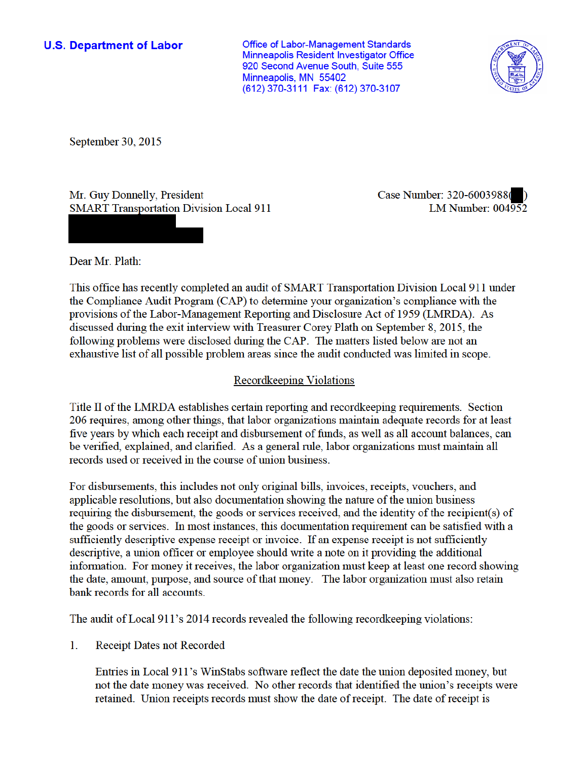**U.S. Department of Labor** 

**Office of Labor-Management Standards** Minneapolis Resident Investigator Office 920 Second Avenue South, Suite 555 Minneapolis, MN 55402 (612) 370-3111 Fax: (612) 370-3107



September 30, 2015

Mr. Guy Donnelly, President **SMART Transportation Division Local 911**  Case Number: 320-6003988( LM Number:  $004\overline{952}$ 

Dear Mr. Plath:

This office has recently completed an audit of SMART Transportation Division Local 911 under the Compliance Audit Program (CAP) to determine your organization's compliance with the provisions of the Labor-Management Reporting and Disclosure Act of 1959 (LMRDA). As discussed during the exit interview with Treasurer Corey Plath on September 8, 2015, the following problems were disclosed during the CAP. The matters listed below are not an exhaustive list of all possible problem areas since the audit conducted was limited in scope.

## Recordkeeping Violations

Title II of the LMRDA establishes certain reporting and recordkeeping requirements. Section 206 requires, among other things, that labor organizations maintain adequate records for at least five years by which each receipt and disbursement of funds, as well as all account balances, can be verified, explained, and clarified. As a general rule, labor organizations must maintain all records used or received in the course of union business.

For disbursements, this includes not only original bills, invoices, receipts, vouchers, and applicable resolutions, but also documentation showing the nature of the union business requiring the disbursement, the goods or services received, and the identity of the recipient(s) of the goods or services. In most instances, this documentation requirement can be satisfied with a sufficiently descriptive expense receipt or invoice. If an expense receipt is not sufficiently descriptive, a union officer or employee should write a note on it providing the additional information. For money it receives, the labor organization must keep at least one record showing the date, amount, purpose, and source of that money. The labor organization must also retain bank records for all accounts.

The audit of Local 911's 2014 records revealed the following record keeping violations:

1. **Receipt Dates not Recorded** 

> Entries in Local 911's WinStabs software reflect the date the union deposited money, but not the date money was received. No other records that identified the union's receipts were retained. Union receipts records must show the date of receipt. The date of receipt is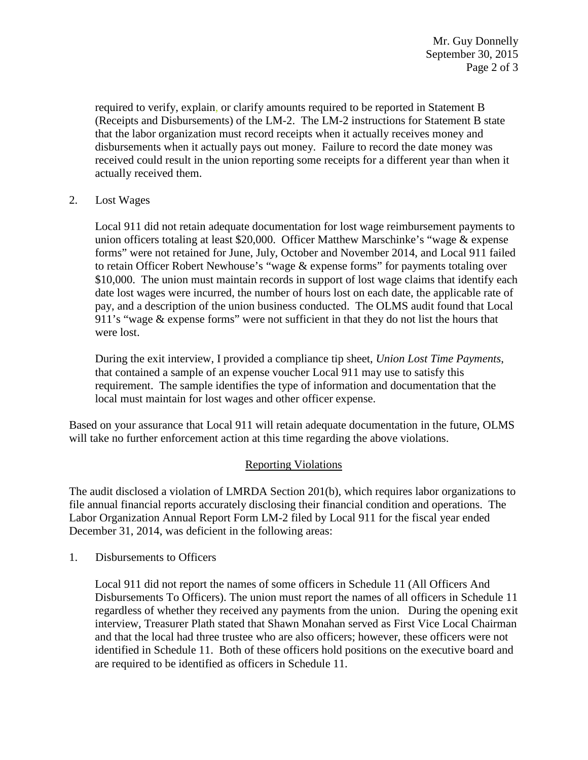required to verify, explain, or clarify amounts required to be reported in Statement B (Receipts and Disbursements) of the LM-2. The LM-2 instructions for Statement B state that the labor organization must record receipts when it actually receives money and disbursements when it actually pays out money. Failure to record the date money was received could result in the union reporting some receipts for a different year than when it actually received them.

2. Lost Wages

Local 911 did not retain adequate documentation for lost wage reimbursement payments to union officers totaling at least \$20,000. Officer Matthew Marschinke's "wage & expense forms" were not retained for June, July, October and November 2014, and Local 911 failed to retain Officer Robert Newhouse's "wage & expense forms" for payments totaling over \$10,000. The union must maintain records in support of lost wage claims that identify each date lost wages were incurred, the number of hours lost on each date, the applicable rate of pay, and a description of the union business conducted. The OLMS audit found that Local 911's "wage & expense forms" were not sufficient in that they do not list the hours that were lost.

During the exit interview, I provided a compliance tip sheet, *Union Lost Time Payments*, that contained a sample of an expense voucher Local 911 may use to satisfy this requirement. The sample identifies the type of information and documentation that the local must maintain for lost wages and other officer expense.

Based on your assurance that Local 911 will retain adequate documentation in the future, OLMS will take no further enforcement action at this time regarding the above violations.

## Reporting Violations

The audit disclosed a violation of LMRDA Section 201(b), which requires labor organizations to file annual financial reports accurately disclosing their financial condition and operations. The Labor Organization Annual Report Form LM-2 filed by Local 911 for the fiscal year ended December 31, 2014, was deficient in the following areas:

1. Disbursements to Officers

Local 911 did not report the names of some officers in Schedule 11 (All Officers And Disbursements To Officers). The union must report the names of all officers in Schedule 11 regardless of whether they received any payments from the union. During the opening exit interview, Treasurer Plath stated that Shawn Monahan served as First Vice Local Chairman and that the local had three trustee who are also officers; however, these officers were not identified in Schedule 11. Both of these officers hold positions on the executive board and are required to be identified as officers in Schedule 11.